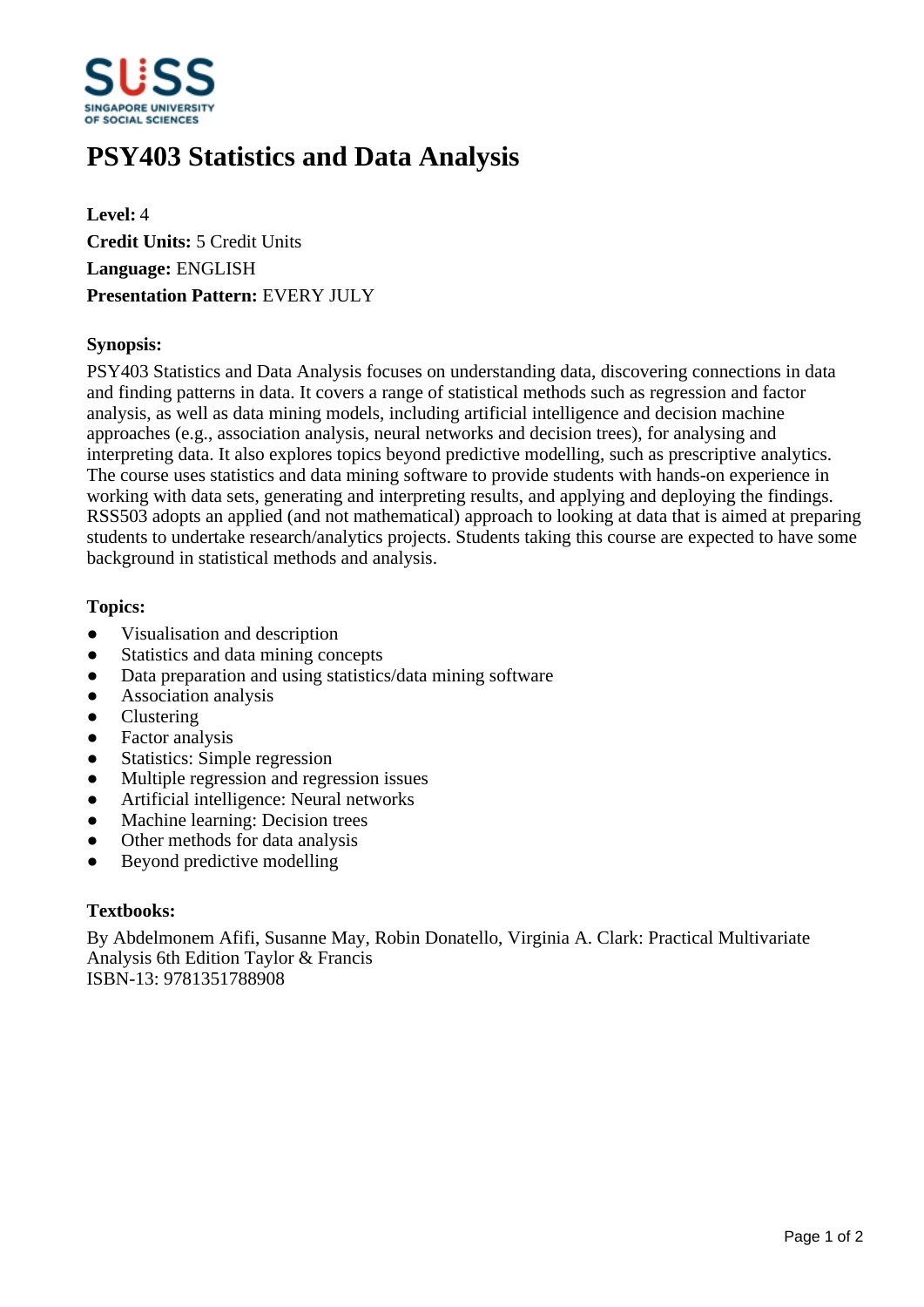

# **PSY403 Statistics and Data Analysis**

**Level:** 4 **Credit Units:** 5 Credit Units **Language:** ENGLISH **Presentation Pattern:** EVERY JULY

# **Synopsis:**

PSY403 Statistics and Data Analysis focuses on understanding data, discovering connections in data and finding patterns in data. It covers a range of statistical methods such as regression and factor analysis, as well as data mining models, including artificial intelligence and decision machine approaches (e.g., association analysis, neural networks and decision trees), for analysing and interpreting data. It also explores topics beyond predictive modelling, such as prescriptive analytics. The course uses statistics and data mining software to provide students with hands-on experience in working with data sets, generating and interpreting results, and applying and deploying the findings. RSS503 adopts an applied (and not mathematical) approach to looking at data that is aimed at preparing students to undertake research/analytics projects. Students taking this course are expected to have some background in statistical methods and analysis.

# **Topics:**

- Visualisation and description
- Statistics and data mining concepts
- Data preparation and using statistics/data mining software
- Association analysis
- **Clustering**
- Factor analysis
- Statistics: Simple regression
- Multiple regression and regression issues
- Artificial intelligence: Neural networks
- Machine learning: Decision trees
- Other methods for data analysis
- Beyond predictive modelling

#### **Textbooks:**

By Abdelmonem Afifi, Susanne May, Robin Donatello, Virginia A. Clark: Practical Multivariate Analysis 6th Edition Taylor & Francis ISBN-13: 9781351788908